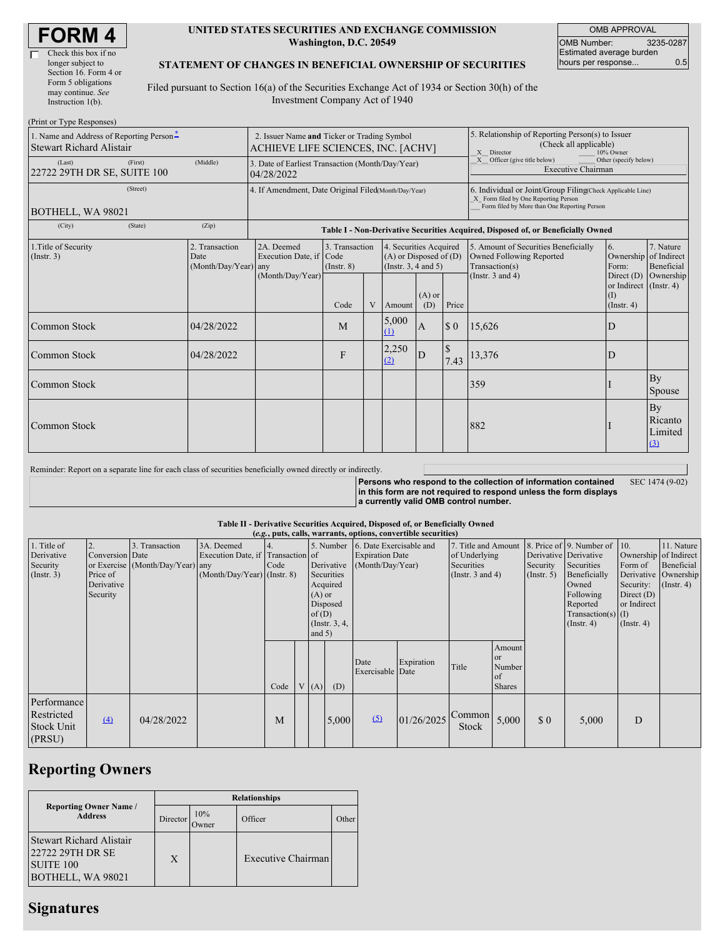| <b>FORM4</b> |
|--------------|
|--------------|

 $(Print or T)$ 

#### **UNITED STATES SECURITIES AND EXCHANGE COMMISSION Washington, D.C. 20549**

OMB APPROVAL OMB Number: 3235-0287 Estimated average burden hours per response... 0.5

### **STATEMENT OF CHANGES IN BENEFICIAL OWNERSHIP OF SECURITIES**

Filed pursuant to Section 16(a) of the Securities Exchange Act of 1934 or Section 30(h) of the Investment Company Act of 1940

| $1 \text{ min}$ or $1 \text{ ypc}$ is $\frac{1}{2}$<br>1. Name and Address of Reporting Person-<br><b>Stewart Richard Alistair</b> | 2. Issuer Name and Ticker or Trading Symbol<br>ACHIEVE LIFE SCIENCES, INC. [ACHV] |                                                                                  |                                   |   |                                                                                  |                 | 5. Relationship of Reporting Person(s) to Issuer<br>(Check all applicable)<br>X Director<br>10% Owner |                                                                                                                                                    |                                                                   |                                 |  |  |  |
|------------------------------------------------------------------------------------------------------------------------------------|-----------------------------------------------------------------------------------|----------------------------------------------------------------------------------|-----------------------------------|---|----------------------------------------------------------------------------------|-----------------|-------------------------------------------------------------------------------------------------------|----------------------------------------------------------------------------------------------------------------------------------------------------|-------------------------------------------------------------------|---------------------------------|--|--|--|
| (Last)<br>(First)<br>22722 29TH DR SE, SUITE 100                                                                                   | (Middle)                                                                          | 3. Date of Earliest Transaction (Month/Day/Year)<br>04/28/2022                   |                                   |   |                                                                                  |                 | X Officer (give title below)<br>Other (specify below)<br><b>Executive Chairman</b>                    |                                                                                                                                                    |                                                                   |                                 |  |  |  |
| (Street)<br>BOTHELL, WA 98021                                                                                                      | 4. If Amendment, Date Original Filed(Month/Day/Year)                              |                                                                                  |                                   |   |                                                                                  |                 |                                                                                                       | 6. Individual or Joint/Group Filing(Check Applicable Line)<br>X Form filed by One Reporting Person<br>Form filed by More than One Reporting Person |                                                                   |                                 |  |  |  |
| (City)<br>(State)                                                                                                                  | (Zip)                                                                             | Table I - Non-Derivative Securities Acquired, Disposed of, or Beneficially Owned |                                   |   |                                                                                  |                 |                                                                                                       |                                                                                                                                                    |                                                                   |                                 |  |  |  |
| 1. Title of Security<br>(Insert. 3)                                                                                                | 2. Transaction<br>Date<br>(Month/Day/Year) any                                    | 2A. Deemed<br>Execution Date, if Code                                            | 3. Transaction<br>$($ Instr. $8)$ |   | 4. Securities Acquired<br>$(A)$ or Disposed of $(D)$<br>(Instr. $3, 4$ and $5$ ) |                 |                                                                                                       | 5. Amount of Securities Beneficially<br>Owned Following Reported<br>Transaction(s)                                                                 | 6.<br>Ownership of Indirect<br>Form:                              | 7. Nature<br>Beneficial         |  |  |  |
|                                                                                                                                    |                                                                                   | (Month/Day/Year)                                                                 | Code                              | V | Amount                                                                           | $(A)$ or<br>(D) | Price                                                                                                 | (Instr. $3$ and $4$ )                                                                                                                              | Direct $(D)$<br>or Indirect (Instr. 4)<br>(1)<br>$($ Instr. 4 $)$ | Ownership                       |  |  |  |
| Common Stock                                                                                                                       | 04/28/2022                                                                        |                                                                                  | M                                 |   | 5,000<br>(1)                                                                     | A               | $\sqrt{3}0$                                                                                           | 15,626                                                                                                                                             | D                                                                 |                                 |  |  |  |
| Common Stock                                                                                                                       | 04/28/2022                                                                        |                                                                                  | F                                 |   | 2,250<br>(2)                                                                     | ID              | $\mathcal{S}$<br>7.43                                                                                 | 13,376                                                                                                                                             | D                                                                 |                                 |  |  |  |
| Common Stock                                                                                                                       |                                                                                   |                                                                                  |                                   |   |                                                                                  |                 |                                                                                                       | 359                                                                                                                                                |                                                                   | By<br>Spouse                    |  |  |  |
| Common Stock                                                                                                                       |                                                                                   |                                                                                  |                                   |   |                                                                                  |                 |                                                                                                       | 882                                                                                                                                                |                                                                   | By<br>Ricanto<br>Limited<br>(3) |  |  |  |

Reminder: Report on a separate line for each class of securities beneficially owned directly or indirectly.

**Persons who respond to the collection of information contained in this form are not required to respond unless the form displays a currently valid OMB control number.** SEC 1474 (9-02)

#### **Table II - Derivative Securities Acquired, Disposed of, or Beneficially Owned**

| (e.g., puts, calls, warrants, options, convertible securities) |                                                       |                                                    |                                                                                  |            |  |                               |                                                                                                                                                           |                          |                                                                                    |                 |                                                          |                                                                                                                                          |                                                                                                  |                                                                      |  |
|----------------------------------------------------------------|-------------------------------------------------------|----------------------------------------------------|----------------------------------------------------------------------------------|------------|--|-------------------------------|-----------------------------------------------------------------------------------------------------------------------------------------------------------|--------------------------|------------------------------------------------------------------------------------|-----------------|----------------------------------------------------------|------------------------------------------------------------------------------------------------------------------------------------------|--------------------------------------------------------------------------------------------------|----------------------------------------------------------------------|--|
| 1. Title of<br>Derivative<br>Security<br>$($ Instr. 3 $)$      | Conversion Date<br>Price of<br>Derivative<br>Security | 3. Transaction<br>or Exercise (Month/Day/Year) any | 3A. Deemed<br>Execution Date, if Transaction of<br>$(Month/Day/Year)$ (Instr. 8) | 4.<br>Code |  | $(A)$ or<br>of(D)<br>and $5)$ | 5. Number 6. Date Exercisable and<br><b>Expiration Date</b><br>Derivative<br>(Month/Day/Year)<br>Securities<br>Acquired<br>Disposed<br>$($ Instr. $3, 4,$ |                          | 7. Title and Amount<br>of Underlying<br><b>Securities</b><br>(Instr. $3$ and $4$ ) |                 | Derivative Derivative<br>Security<br>(Insert. 5)         | 8. Price of 9. Number of 10.<br>Securities<br>Beneficially<br>Owned<br>Following<br>Reported<br>$Transaction(s)$ (I)<br>$($ Instr. 4 $)$ | Ownership of Indirect<br>Form of<br>Security:<br>Direct $(D)$<br>or Indirect<br>$($ Instr. 4 $)$ | 11. Nature<br>Beneficial<br>Derivative Ownership<br>$($ Instr. 4 $)$ |  |
|                                                                |                                                       |                                                    |                                                                                  | Code       |  | V(A)                          | (D)                                                                                                                                                       | Date<br>Exercisable Date | Expiration                                                                         | Title           | Amount<br><sub>or</sub><br>Number<br>of<br><b>Shares</b> |                                                                                                                                          |                                                                                                  |                                                                      |  |
| Performance<br>Restricted<br><b>Stock Unit</b><br>(PRSU)       | $\Delta$                                              | 04/28/2022                                         |                                                                                  | M          |  |                               | 5,000                                                                                                                                                     | (5)                      | 01/26/2025                                                                         | Common<br>Stock | 5,000                                                    | \$0                                                                                                                                      | 5,000                                                                                            | D                                                                    |  |

### **Reporting Owners**

|                                                                                       | <b>Relationships</b> |              |                    |       |  |  |  |  |  |
|---------------------------------------------------------------------------------------|----------------------|--------------|--------------------|-------|--|--|--|--|--|
| <b>Reporting Owner Name /</b><br><b>Address</b>                                       | Director             | 10%<br>Owner | Officer            | Other |  |  |  |  |  |
| Stewart Richard Alistair<br>22722 29TH DR SE<br><b>SUITE 100</b><br>BOTHELL, WA 98021 | X                    |              | Executive Chairman |       |  |  |  |  |  |

# **Signatures**